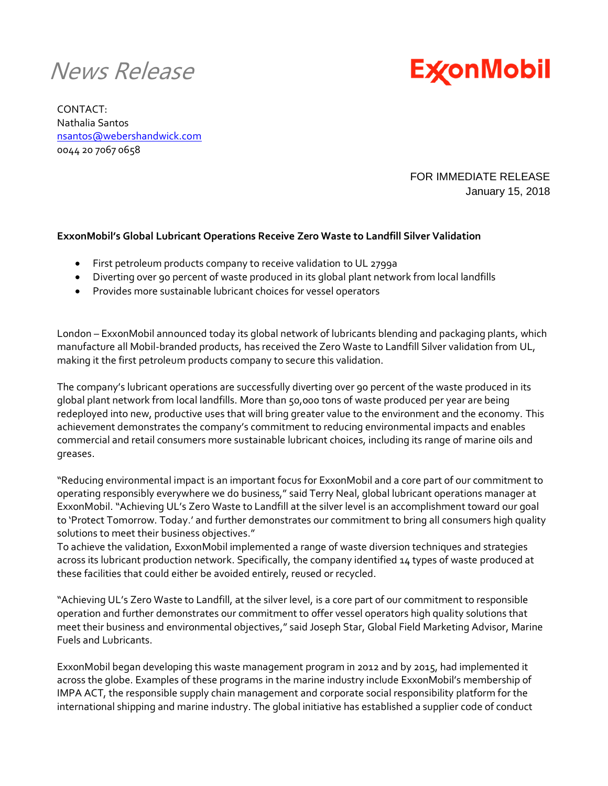## News Release



CONTACT: Nathalia Santos [nsantos@webershandwick.com](mailto:nsantos@webershandwick.com) 0044 20 7067 0658

> FOR IMMEDIATE RELEASE January 15, 2018

## **ExxonMobil's Global Lubricant Operations Receive Zero Waste to Landfill Silver Validation**

- First petroleum products company to receive validation to UL 2799a
- Diverting over 90 percent of waste produced in its global plant network from local landfills
- Provides more sustainable lubricant choices for vessel operators

London – ExxonMobil announced today its global network of lubricants blending and packaging plants, which manufacture all Mobil-branded products, has received the Zero Waste to Landfill Silver validation from UL, making it the first petroleum products company to secure this validation.

The company's lubricant operations are successfully diverting over 90 percent of the waste produced in its global plant network from local landfills. More than 50,000 tons of waste produced per year are being redeployed into new, productive uses that will bring greater value to the environment and the economy. This achievement demonstrates the company's commitment to reducing environmental impacts and enables commercial and retail consumers more sustainable lubricant choices, including its range of marine oils and greases.

"Reducing environmental impact is an important focus for ExxonMobil and a core part of our commitment to operating responsibly everywhere we do business," said Terry Neal, global lubricant operations manager at ExxonMobil. "Achieving UL's Zero Waste to Landfill at the silver level is an accomplishment toward our goal to 'Protect Tomorrow. Today.' and further demonstrates our commitment to bring all consumers high quality solutions to meet their business objectives."

To achieve the validation, ExxonMobil implemented a range of waste diversion techniques and strategies across its lubricant production network. Specifically, the company identified 14 types of waste produced at these facilities that could either be avoided entirely, reused or recycled.

"Achieving UL's Zero Waste to Landfill, at the silver level, is a core part of our commitment to responsible operation and further demonstrates our commitment to offer vessel operators high quality solutions that meet their business and environmental objectives," said Joseph Star, Global Field Marketing Advisor, Marine Fuels and Lubricants.

ExxonMobil began developing this waste management program in 2012 and by 2015, had implemented it across the globe. Examples of these programs in the marine industry include ExxonMobil's membership of IMPA ACT, the responsible supply chain management and corporate social responsibility platform for the international shipping and marine industry. The global initiative has established a supplier code of conduct